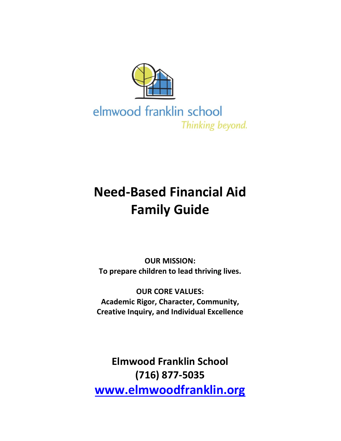

elmwood franklin school Thinking beyond.

# **Need-Based Financial Aid Family Guide**

**OUR MISSION: To prepare children to lead thriving lives.**

**OUR CORE VALUES: Academic Rigor, Character, Community, Creative Inquiry, and Individual Excellence**

**Elmwood Franklin School (716) 877-5035 [www.elmwoodfranklin.org](http://www.elmwoodfranklin.org/)**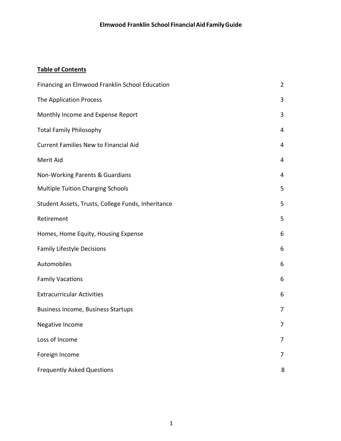# **Table of Contents**

| Financing an Elmwood Franklin School Education     | $\overline{2}$ |
|----------------------------------------------------|----------------|
| The Application Process                            | 3              |
| Monthly Income and Expense Report                  | 3              |
| <b>Total Family Philosophy</b>                     | 4              |
| Current Families New to Financial Aid              | 4              |
| Merit Aid                                          | 4              |
| Non-Working Parents & Guardians                    | 4              |
| <b>Multiple Tuition Charging Schools</b>           | 5              |
| Student Assets, Trusts, College Funds, Inheritance | 5              |
| Retirement                                         | 5              |
| Homes, Home Equity, Housing Expense                | 6              |
| <b>Family Lifestyle Decisions</b>                  | 6              |
| Automobiles                                        | 6              |
| <b>Family Vacations</b>                            | 6              |
| <b>Extracurricular Activities</b>                  | 6              |
| <b>Business Income, Business Startups</b>          | 7              |
| Negative Income                                    | 7              |
| Loss of Income                                     | 7              |
| Foreign Income                                     | 7              |
| <b>Frequently Asked Questions</b>                  | 8              |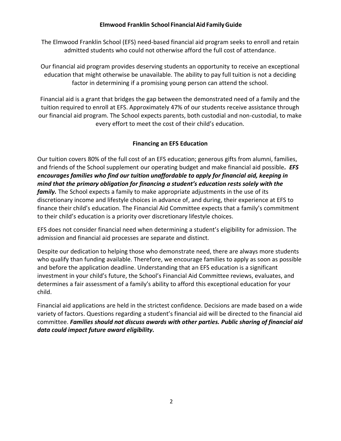The Elmwood Franklin School (EFS) need-based financial aid program seeks to enroll and retain admitted students who could not otherwise afford the full cost of attendance.

Our financial aid program provides deserving students an opportunity to receive an exceptional education that might otherwise be unavailable. The ability to pay full tuition is not a deciding factor in determining if a promising young person can attend the school.

Financial aid is a grant that bridges the gap between the demonstrated need of a family and the tuition required to enroll at EFS. Approximately 47% of our students receive assistance through our financial aid program. The School expects parents, both custodial and non-custodial, to make every effort to meet the cost of their child's education.

## **Financing an EFS Education**

<span id="page-2-0"></span>Our tuition covers 80% of the full cost of an EFS education; generous gifts from alumni, families, and friends of the School supplement our operating budget and make financial aid possible*. EFS encourages families who find our tuition unaffordable to apply for financial aid, keeping in mind that the primary obligation for financing a student's education rests solely with the family.* The School expects a family to make appropriate adjustments in the use of its discretionary income and lifestyle choices in advance of, and during, their experience at EFS to finance their child's education. The Financial Aid Committee expects that a family's commitment to their child's education is a priority over discretionary lifestyle choices.

EFS does not consider financial need when determining a student's eligibility for admission. The admission and financial aid processes are separate and distinct.

Despite our dedication to helping those who demonstrate need, there are always more students who qualify than funding available. Therefore, we encourage families to apply as soon as possible and before the application deadline. Understanding that an EFS education is a significant investment in your child's future, the School's Financial Aid Committee reviews, evaluates, and determines a fair assessment of a family's ability to afford this exceptional education for your child.

Financial aid applications are held in the strictest confidence. Decisions are made based on a wide variety of factors. Questions regarding a student's financial aid will be directed to the financial aid committee. *Families should not discuss awards with other parties. Public sharing of financial aid data could impact future award eligibility.*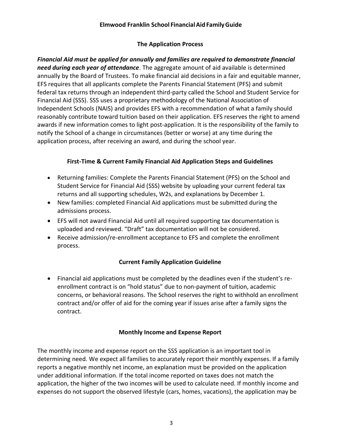# **The Application Process**

<span id="page-3-0"></span>*Financial Aid must be applied for annually and families are required to demonstrate financial need during each year of attendance*. The aggregate amount of aid available is determined annually by the Board of Trustees. To make financial aid decisions in a fair and equitable manner, EFS requires that all applicants complete the Parents Financial Statement (PFS) and submit federal tax returns through an independent third-party called the School and Student Service for Financial Aid (SSS). SSS uses a proprietary methodology of the National Association of Independent Schools (NAIS) and provides EFS with a recommendation of what a family should reasonably contribute toward tuition based on their application. EFS reserves the right to amend awards if new information comes to light post-application. It is the responsibility of the family to notify the School of a change in circumstances (better or worse) at any time during the application process, after receiving an award, and during the school year.

# **First-Time & Current Family Financial Aid Application Steps and Guidelines**

- Returning families: Complete the Parents Financial Statement (PFS) on the School and Student Service for Financial Aid (SSS) website by uploading your current federal tax returns and all supporting schedules, W2s, and explanations by December 1.
- New families: completed Financial Aid applications must be submitted during the admissions process.
- EFS will not award Financial Aid until all required supporting tax documentation is uploaded and reviewed. "Draft" tax documentation will not be considered.
- Receive admission/re-enrollment acceptance to EFS and complete the enrollment process.

# **Current Family Application Guideline**

• Financial aid applications must be completed by the deadlines even if the student's reenrollment contract is on "hold status" due to non-payment of tuition, academic concerns, or behavioral reasons. The School reserves the right to withhold an enrollment contract and/or offer of aid for the coming year if issues arise after a family signs the contract.

# **Monthly Income and Expense Report**

<span id="page-3-1"></span>The monthly income and expense report on the SSS application is an important tool in determining need. We expect all families to accurately report their monthly expenses. If a family reports a negative monthly net income, an explanation must be provided on the application under additional information. If the total income reported on taxes does not match the application, the higher of the two incomes will be used to calculate need. If monthly income and expenses do not support the observed lifestyle (cars, homes, vacations), the application may be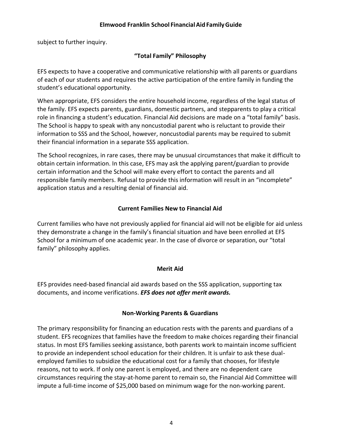<span id="page-4-0"></span>subject to further inquiry.

# **"Total Family" Philosophy**

EFS expects to have a cooperative and communicative relationship with all parents or guardians of each of our students and requires the active participation of the entire family in funding the student's educational opportunity.

When appropriate, EFS considers the entire household income, regardless of the legal status of the family. EFS expects parents, guardians, domestic partners, and stepparents to play a critical role in financing a student's education. Financial Aid decisions are made on a "total family" basis. The School is happy to speak with any noncustodial parent who is reluctant to provide their information to SSS and the School, however, noncustodial parents may be required to submit their financial information in a separate SSS application.

The School recognizes, in rare cases, there may be unusual circumstances that make it difficult to obtain certain information. In this case, EFS may ask the applying parent/guardian to provide certain information and the School will make every effort to contact the parents and all responsible family members. Refusal to provide this information will result in an "incomplete" application status and a resulting denial of financial aid.

# **Current Families New to Financial Aid**

<span id="page-4-1"></span>Current families who have not previously applied for financial aid will not be eligible for aid unless they demonstrate a change in the family's financial situation and have been enrolled at EFS School for a minimum of one academic year. In the case of divorce or separation, our "total family" philosophy applies.

#### **Merit Aid**

<span id="page-4-2"></span>EFS provides need-based financial aid awards based on the SSS application, supporting tax documents, and income verifications. *EFS does not offer merit awards.*

#### **Non-Working Parents & Guardians**

The primary responsibility for financing an education rests with the parents and guardians of a student. EFS recognizes that families have the freedom to make choices regarding their financial status. In most EFS families seeking assistance, both parents work to maintain income sufficient to provide an independent school education for their children. It is unfair to ask these dualemployed families to subsidize the educational cost for a family that chooses, for lifestyle reasons, not to work. If only one parent is employed, and there are no dependent care circumstances requiring the stay-at-home parent to remain so, the Financial Aid Committee will impute a full-time income of \$25,000 based on minimum wage for the non-working parent.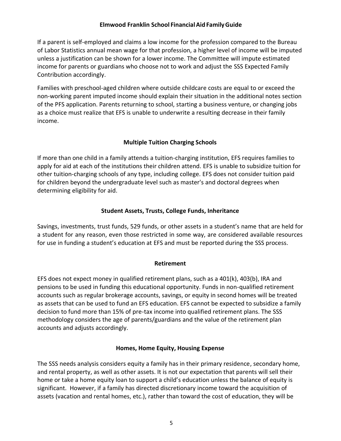If a parent is self-employed and claims a low income for the profession compared to the Bureau of Labor Statistics annual mean wage for that profession, a higher level of income will be imputed unless a justification can be shown for a lower income. The Committee will impute estimated income for parents or guardians who choose not to work and adjust the SSS Expected Family Contribution accordingly.

Families with preschool-aged children where outside childcare costs are equal to or exceed the non-working parent imputed income should explain their situation in the additional notes section of the PFS application. Parents returning to school, starting a business venture, or changing jobs as a choice must realize that EFS is unable to underwrite a resulting decrease in their family income.

# **Multiple Tuition Charging Schools**

<span id="page-5-0"></span>If more than one child in a family attends a tuition-charging institution, EFS requires families to apply for aid at each of the institutions their children attend. EFS is unable to subsidize tuition for other tuition-charging schools of any type, including college. EFS does not consider tuition paid for children beyond the undergraduate level such as master's and doctoral degrees when determining eligibility for aid.

## **Student Assets, Trusts, College Funds, Inheritance**

<span id="page-5-1"></span>Savings, investments, trust funds, 529 funds, or other assets in a student's name that are held for a student for any reason, even those restricted in some way, are considered available resources for use in funding a student's education at EFS and must be reported during the SSS process.

#### **Retirement**

<span id="page-5-2"></span>EFS does not expect money in qualified retirement plans, such as a 401(k), 403(b), IRA and pensions to be used in funding this educational opportunity. Funds in non-qualified retirement accounts such as regular brokerage accounts, savings, or equity in second homes will be treated as assets that can be used to fund an EFS education. EFS cannot be expected to subsidize a family decision to fund more than 15% of pre-tax income into qualified retirement plans. The SSS methodology considers the age of parents/guardians and the value of the retirement plan accounts and adjusts accordingly.

#### **Homes, Home Equity, Housing Expense**

<span id="page-5-3"></span>The SSS needs analysis considers equity a family has in their primary residence, secondary home, and rental property, as well as other assets. It is not our expectation that parents will sell their home or take a home equity loan to support a child's education unless the balance of equity is significant. However, if a family has directed discretionary income toward the acquisition of assets (vacation and rental homes, etc.), rather than toward the cost of education, they will be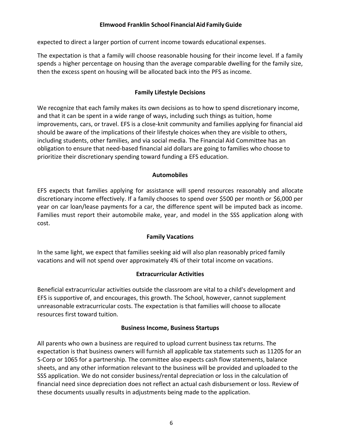expected to direct a larger portion of current income towards educational expenses.

The expectation is that a family will choose reasonable housing for their income level. If a family spends a higher percentage on housing than the average comparable dwelling for the family size, then the excess spent on housing will be allocated back into the PFS as income.

## **Family Lifestyle Decisions**

<span id="page-6-0"></span>We recognize that each family makes its own decisions as to how to spend discretionary income, and that it can be spent in a wide range of ways, including such things as tuition, home improvements, cars, or travel. EFS is a close-knit community and families applying for financial aid should be aware of the implications of their lifestyle choices when they are visible to others, including students, other families, and via social media. The Financial Aid Committee has an obligation to ensure that need-based financial aid dollars are going to families who choose to prioritize their discretionary spending toward funding a EFS education.

## **Automobiles**

<span id="page-6-1"></span>EFS expects that families applying for assistance will spend resources reasonably and allocate discretionary income effectively. If a family chooses to spend over \$500 per month or \$6,000 per year on car loan/lease payments for a car, the difference spent will be imputed back as income. Families must report their automobile make, year, and model in the SSS application along with cost.

# **Family Vacations**

<span id="page-6-3"></span><span id="page-6-2"></span>In the same light, we expect that families seeking aid will also plan reasonably priced family vacations and will not spend over approximately 4% of their total income on vacations.

#### **Extracurricular Activities**

Beneficial extracurricular activities outside the classroom are vital to a child's development and EFS is supportive of, and encourages, this growth. The School, however, cannot supplement unreasonable extracurricular costs. The expectation is that families will choose to allocate resources first toward tuition.

#### **Business Income, Business Startups**

<span id="page-6-4"></span>All parents who own a business are required to upload current business tax returns. The expectation is that business owners will furnish all applicable tax statements such as 1120S for an S-Corp or 1065 for a partnership. The committee also expects cash flow statements, balance sheets, and any other information relevant to the business will be provided and uploaded to the SSS application. We do not consider business/rental depreciation or loss in the calculation of financial need since depreciation does not reflect an actual cash disbursement or loss. Review of these documents usually results in adjustments being made to the application.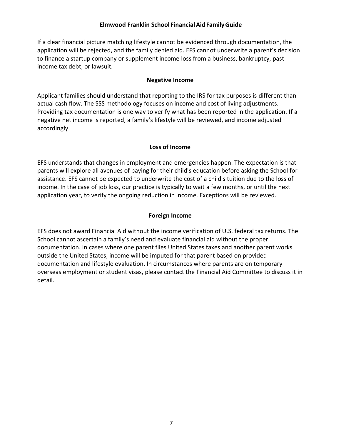If a clear financial picture matching lifestyle cannot be evidenced through documentation, the application will be rejected, and the family denied aid. EFS cannot underwrite a parent's decision to finance a startup company or supplement income loss from a business, bankruptcy, past income tax debt, or lawsuit.

## **Negative Income**

<span id="page-7-0"></span>Applicant families should understand that reporting to the IRS for tax purposes is different than actual cash flow. The SSS methodology focuses on income and cost of living adjustments. Providing tax documentation is one way to verify what has been reported in the application. If a negative net income is reported, a family's lifestyle will be reviewed, and income adjusted accordingly.

## **Loss of Income**

<span id="page-7-1"></span>EFS understands that changes in employment and emergencies happen. The expectation is that parents will explore all avenues of paying for their child's education before asking the School for assistance. EFS cannot be expected to underwrite the cost of a child's tuition due to the loss of income. In the case of job loss, our practice is typically to wait a few months, or until the next application year, to verify the ongoing reduction in income. Exceptions will be reviewed.

# **Foreign Income**

<span id="page-7-2"></span>EFS does not award Financial Aid without the income verification of U.S. federal tax returns. The School cannot ascertain a family's need and evaluate financial aid without the proper documentation. In cases where one parent files United States taxes and another parent works outside the United States, income will be imputed for that parent based on provided documentation and lifestyle evaluation. In circumstances where parents are on temporary overseas employment or student visas, please contact the Financial Aid Committee to discuss it in detail.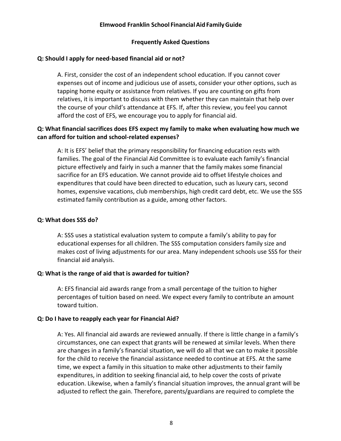#### **Frequently Asked Questions**

## **Q: Should I apply for need-based financial aid or not?**

A. First, consider the cost of an independent school education. If you cannot cover expenses out of income and judicious use of assets, consider your other options, such as tapping home equity or assistance from relatives. If you are counting on gifts from relatives, it is important to discuss with them whether they can maintain that help over the course of your child's attendance at EFS. If, after this review, you feel you cannot afford the cost of EFS, we encourage you to apply for financial aid.

## **Q: What financial sacrifices does EFS expect my family to make when evaluating how much we can afford for tuition and school-related expenses?**

A: It is EFS' belief that the primary responsibility for financing education rests with families. The goal of the Financial Aid Committee is to evaluate each family's financial picture effectively and fairly in such a manner that the family makes some financial sacrifice for an EFS education. We cannot provide aid to offset lifestyle choices and expenditures that could have been directed to education, such as luxury cars, second homes, expensive vacations, club memberships, high credit card debt, etc. We use the SSS estimated family contribution as a guide, among other factors.

#### **Q: What does SSS do?**

A: SSS uses a statistical evaluation system to compute a family's ability to pay for educational expenses for all children. The SSS computation considers family size and makes cost of living adjustments for our area. Many independent schools use SSS for their financial aid analysis.

#### **Q: What is the range of aid that is awarded for tuition?**

A: EFS financial aid awards range from a small percentage of the tuition to higher percentages of tuition based on need. We expect every family to contribute an amount toward tuition.

#### **Q: Do I have to reapply each year for Financial Aid?**

A: Yes. All financial aid awards are reviewed annually. If there is little change in a family's circumstances, one can expect that grants will be renewed at similar levels. When there are changes in a family's financial situation, we will do all that we can to make it possible for the child to receive the financial assistance needed to continue at EFS. At the same time, we expect a family in this situation to make other adjustments to their family expenditures, in addition to seeking financial aid, to help cover the costs of private education. Likewise, when a family's financial situation improves, the annual grant will be adjusted to reflect the gain. Therefore, parents/guardians are required to complete the